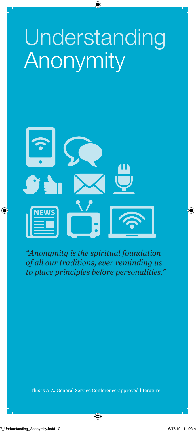# **Understanding Anonymity**



*"Anonymity is the spiritual foundation of all our traditions, ever reminding us to place principles before personalities."*

This is A.A. General Service Conference-approved literature.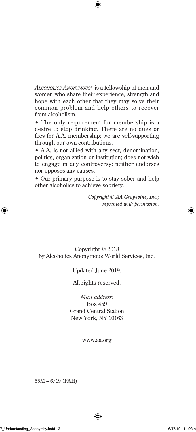*Alcoholics Anonymous®* is a fellowship of men and women who share their experience, strength and hope with each other that they may solve their common problem and help others to recover from alcoholism.

• The only requirement for membership is a desire to stop drinking. There are no dues or fees for A.A. membership; we are self-supporting through our own contributions.

• A.A. is not allied with any sect, denomination, politics, organization or institution; does not wish to engage in any controversy; neither endorses nor opposes any causes.

• Our primary purpose is to stay sober and help other alcoholics to achieve sobriety.

> *Copyright © AA Grapevine, Inc.; reprinted with permission.*

#### Copyright © 2018 by Alcoholics Anonymous World Services, Inc.

#### Updated June 2019.

All rights reserved.

*Mail address:*  Box 459 Grand Central Station New York, NY 10163

www.aa.org

55M – 6/19 (PAH)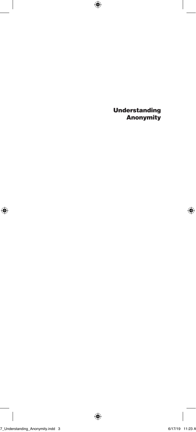Understanding Anonymity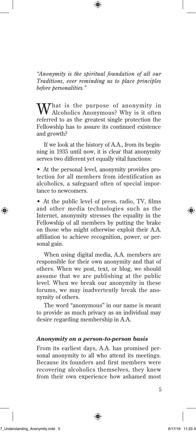*"Anonymity is the spiritual foundation of all our Traditions, ever reminding us to place principles before personalities."* 

That is the purpose of anonymity in Alcoholics Anonymous? Why is it often referred to as the greatest single protection the Fellowship has to assure its continued existence and growth?

If we look at the history of A.A., from its beginning in 1935 until now, it is clear that anonymity serves two different yet equally vital functions:

• At the personal level, anonymity provides protection for all members from identification as alcoholics, a safeguard often of special importance to newcomers.

• At the public level of press, radio, TV, films and other media technologies such as the Internet, anonymity stresses the equality in the Fellowship of all members by putting the brake on those who might otherwise exploit their A.A. affiliation to achieve recognition, power, or personal gain.

When using digital media, A.A. members are responsible for their own anonymity and that of others. When we post, text, or blog, we should assume that we are publishing at the public level. When we break our anonymity in these forums, we may inadvertently break the anonymity of others.

The word "anonymous" in our name is meant to provide as much privacy as an individual may desire regarding membership in A.A.

#### *Anonymity on a person-to-person basis*

From its earliest days, A.A. has promised personal anonymity to all who attend its meetings. Because its founders and first members were recovering alcoholics themselves, they knew from their own experience how ashamed most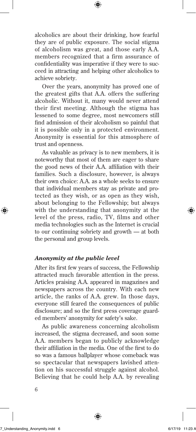alcoholics are about their drinking, how fearful they are of public exposure. The social stigma of alcoholism was great, and those early A.A. members recognized that a firm assurance of confidentiality was imperative if they were to succeed in attracting and helping other alcoholics to achieve sobriety.

Over the years, anonymity has proved one of the greatest gifts that A.A. offers the suffering alcoholic. Without it, many would never attend their first meeting. Although the stigma has lessened to some degree, most newcomers still find admission of their alcoholism so painful that it is possible only in a protected environment. Anonymity is essential for this atmosphere of trust and openness.

As valuable as privacy is to new members, it is noteworthy that most of them are eager to share the good news of their A.A. affiliation with their families. Such a disclosure, however, is always their own choice: A.A. as a whole seeks to ensure that individual members stay as private and protected as they wish, or as open as they wish, about belonging to the Fellowship; but always with the understanding that anonymity at the level of the press, radio, TV, films and other media technologies such as the Internet is crucial to our continuing sobriety and growth — at both the personal and group levels.

#### *Anonymity at the public level*

After its first few years of success, the Fellowship attracted much favorable attention in the press. Articles praising A.A. appeared in magazines and newspapers across the country. With each new article, the ranks of A.A. grew. In those days, everyone still feared the consequences of public disclosure; and so the first press coverage guarded members' anonymity for safety's sake.

As public awareness concerning alcoholism increased, the stigma decreased, and soon some A.A. members began to publicly acknowledge their affiliation in the media. One of the first to do so was a famous ballplayer whose comeback was so spectacular that newspapers lavished attention on his successful struggle against alcohol. Believing that he could help A.A. by revealing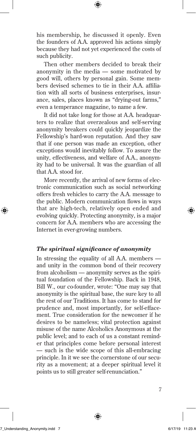his membership, he discussed it openly. Even the founders of A.A. approved his actions simply because they had not yet experienced the costs of such publicity.

Then other members decided to break their anonymity in the media — some motivated by good will, others by personal gain. Some members devised schemes to tie in their A.A. affiliation with all sorts of business enterprises, insurance, sales, places known as "drying-out farms," even a temperance magazine, to name a few.

It did not take long for those at A.A. headquarters to realize that overzealous and self-serving anonymity breakers could quickly jeopardize the Fellowship's hard-won reputation. And they saw that if one person was made an exception, other exceptions would inevitably follow. To assure the unity, effectiveness, and welfare of A.A., anonymity had to be universal. It was the guardian of all that A.A. stood for.

More recently, the arrival of new forms of electronic communication such as social networking offers fresh vehicles to carry the A.A. message to the public. Modern communication flows in ways that are high-tech, relatively open ended and evolving quickly. Protecting anonymity, is a major concern for A.A. members who are accessing the Internet in ever-growing numbers.

## *The spiritual significance of anonymity*

In stressing the equality of all A.A. members and unity in the common bond of their recovery from alcoholism — anonymity serves as the spiritual foundation of the Fellowship. Back in 1948, Bill W., our co-founder, wrote: "One may say that anonymity is the spiritual base, the sure key to all the rest of our Traditions. It has come to stand for prudence and, most importantly, for self-effacement. True consideration for the newcomer if he desires to be nameless; vital protection against misuse of the name Alcoholics Anonymous at the public level; and to each of us a constant reminder that principles come before personal interest — such is the wide scope of this all-embracing principle. In it we see the cornerstone of our security as a movement; at a deeper spiritual level it points us to still greater self-renunciation."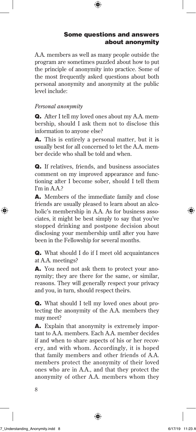## Some questions and answers about anonymity

A.A. members as well as many people outside the program are sometimes puzzled about how to put the principle of anonymity into practice. Some of the most frequently asked questions about both personal anonymity and anonymity at the public level include:

## *Personal anonymity*

Q. After I tell my loved ones about my A.A. membership, should I ask them not to disclose this information to anyone else?

A. This is entirely a personal matter, but it is usually best for all concerned to let the A.A. member decide who shall be told and when.

Q. If relatives, friends, and business associates comment on my improved appearance and functioning after I become sober, should I tell them I'm in A.A.?

A. Members of the immediate family and close friends are usually pleased to learn about an alcoholic's membership in A.A. As for business associates, it might be best simply to say that you've stopped drinking and postpone decision about disclosing your membership until after you have been in the Fellowship for several months.

Q. What should I do if I meet old acquaintances at A.A. meetings?

A. You need not ask them to protect your anonymity; they are there for the same, or similar, reasons. They will generally respect your privacy and you, in turn, should respect theirs.

Q. What should I tell my loved ones about protecting the anonymity of the A.A. members they may meet?

A. Explain that anonymity is extremely important to A.A. members. Each A.A. member decides if and when to share aspects of his or her recovery, and with whom. Accordingly, it is hoped that family members and other friends of A.A. members protect the anonymity of their loved ones who are in A.A., and that they protect the anonymity of other A.A. members whom they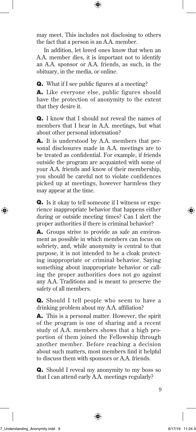may meet. This includes not disclosing to others the fact that a person is an A.A. member.

In addition, let loved ones know that when an A.A. member dies, it is important not to identify an A.A. sponsor or A.A. friends, as such, in the obituary, in the media, or online.

Q. What if I see public figures at a meeting?

A. Like everyone else, public figures should have the protection of anonymity to the extent that they desire it.

Q. I know that I should not reveal the names of members that I hear in A.A. meetings, but what about other personal information?

A. It is understood by A.A. members that personal disclosures made in A.A. meetings are to be treated as confidential. For example, if friends outside the program are acquainted with some of your A.A. friends and know of their membership, you should be careful not to violate confidences picked up at meetings, however harmless they may appear at the time.

Q. Is it okay to tell someone if I witness or experience inappropriate behavior that happens either during or outside meeting times? Can I alert the proper authorities if there is criminal behavior?

A. Groups strive to provide as safe an environment as possible in which members can focus on sobriety, and, while anonymity is central to that purpose, it is not intended to be a cloak protecting inappropriate or criminal behavior. Saying something about inappropriate behavior or calling the proper authorities does not go against any A.A. Traditions and is meant to preserve the safety of all members.

Q. Should I tell people who seem to have a drinking problem about my A.A. affiliation?

A. This is a personal matter. However, the spirit of the program is one of sharing and a recent study of A.A. members shows that a high proportion of them joined the Fellowship through another member. Before reaching a decision about such matters, most members find it helpful to discuss them with sponsors or A.A. friends.

Q. Should I reveal my anonymity to my boss so that I can attend early A.A. meetings regularly?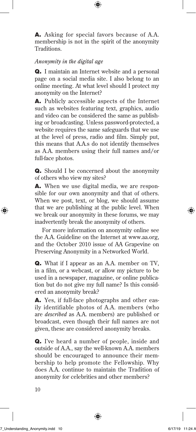A. Asking for special favors because of A.A. membership is not in the spirit of the anonymity Traditions.

## *Anonymity in the digital age*

Q. I maintain an Internet website and a personal page on a social media site. I also belong to an online meeting. At what level should I protect my anonymity on the Internet?

A. Publicly accessible aspects of the Internet such as websites featuring text, graphics, audio and video can be considered the same as publishing or broadcasting. Unless password-protected, a website requires the same safeguards that we use at the level of press, radio and film. Simply put, this means that A.A.s do not identify themselves as A.A. members using their full names and/or full-face photos.

Q. Should I be concerned about the anonymity of others who view my sites?

A. When we use digital media, we are responsible for our own anonymity and that of others. When we post, text, or blog, we should assume that we are publishing at the public level. When we break our anonymity in these forums, we may inadvertently break the anonymity of others.

For more information on anonymity online see the A.A. Guideline on the Internet at www.aa.org, and the October 2010 issue of AA Grapevine on Preserving Anonymity in a Networked World.

Q. What if I appear as an A.A. member on TV, in a film, or a webcast, or allow my picture to be used in a newspaper, magazine, or online publication but do not give my full name? Is this considered an anonymity break?

A. Yes, if full-face photographs and other easily identifiable photos of A.A. members (who are *described* as A.A. members) are published or broadcast, even though their full names are not given, these are considered anonymity breaks.

Q. I've heard a number of people, inside and outside of A.A., say the well-known A.A. members should be encouraged to announce their membership to help promote the Fellowship. Why does A.A. continue to maintain the Tradition of anonymity for celebrities and other members?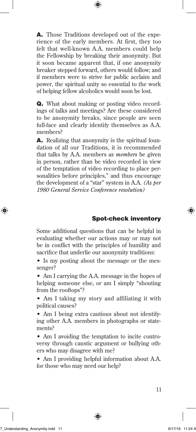A. Those Traditions developed out of the experience of the early members. At first, they too felt that well-known A.A. members could help the Fellowship by breaking their anonymity. But it soon became apparent that, if one anonymity breaker stepped forward, others would follow; and if members were to strive for public acclaim and power, the spiritual unity so essential to the work of helping fellow alcoholics would soon be lost.

Q. What about making or posting video recordings of talks and meetings? Are these considered to be anonymity breaks, since people are seen full-face and clearly identify themselves as A.A. members?

A. Realizing that anonymity is the spiritual foundation of all our Traditions, it is recommended that talks by A.A. members *as members* be given in person, rather than be video recorded in view of the temptation of video recording to place personalities before principles," and thus encourage the development of a "star" system in A.A. *(As per 1980 General Service Conference resolution)*

## Spot-check inventory

Some additional questions that can be helpful in evaluating whether our actions may or may not be in conflict with the principles of humility and sacrifice that underlie our anonymity traditions:

• Is my posting about the message or the messenger?

• Am I carrying the A.A. message in the hopes of helping someone else, or am I simply "shouting from the rooftops"?

• Am I taking my story and affiliating it with political causes?

• Am I being extra cautious about not identifying other A.A. members in photographs or statements?

• Am I avoiding the temptation to incite controversy through caustic argument or bullying others who may disagree with me?

• Am I providing helpful information about A.A. for those who may need our help?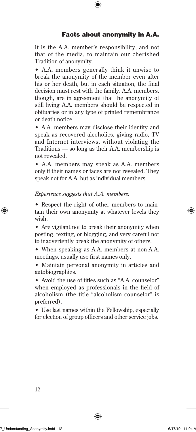It is the A.A. member's responsibility, and not that of the media, to maintain our cherished Tradition of anonymity.

• A.A. members generally think it unwise to break the anonymity of the member even after his or her death, but in each situation, the final decision must rest with the family. A.A. members, though, are in agreement that the anonymity of still living A.A. members should be respected in obituaries or in any type of printed remembrance or death notice.

• A.A. members may disclose their identity and speak as recovered alcoholics, giving radio, TV and Internet interviews, without violating the Traditions — so long as their A.A. membership is not revealed.

• A.A. members may speak as A.A. members only if their names or faces are not revealed. They speak not for A.A. but as individual members.

## *Experience suggests that A.A. members:*

• Respect the right of other members to maintain their own anonymity at whatever levels they wish.

• Are vigilant not to break their anonymity when posting, texting, or blogging, and very careful not to inadvertently break the anonymity of others.

- When speaking as A.A. members at non-A.A. meetings, usually use first names only.
- Maintain personal anonymity in articles and autobiographies.

• Avoid the use of titles such as "A.A. counselor" when employed as professionals in the field of alcoholism (the title "alcoholism counselor" is preferred).

• Use last names within the Fellowship, especially for election of group officers and other service jobs.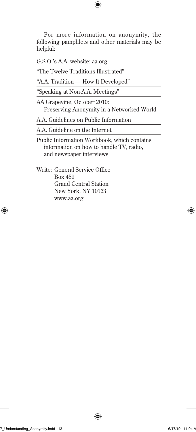For more information on anonymity, the following pamphlets and other materials may be helpful:

| G.S.O.'s A.A. website: aa.org                                                                                      |
|--------------------------------------------------------------------------------------------------------------------|
| "The Twelve Traditions Illustrated"                                                                                |
| "A.A. Tradition — How It Developed"                                                                                |
| "Speaking at Non-A.A. Meetings"                                                                                    |
| AA Grapevine, October 2010:<br>Preserving Anonymity in a Networked World                                           |
| A.A. Guidelines on Public Information                                                                              |
| A.A. Guideline on the Internet                                                                                     |
| Public Information Workbook, which contains<br>information on how to handle TV, radio,<br>and newspaper interviews |

Write: General Service Office Box 459 Grand Central Station New York, NY 10163 www.aa.org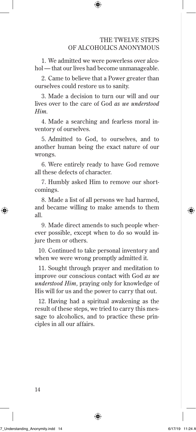#### THE TWELVE STEPS OF ALCOHOLICS ANONYMOUS

 1. We admitted we were powerless over alcohol — that our lives had become unmanageable.

 2. Came to believe that a Power greater than ourselves could restore us to sanity.

 3. Made a decision to turn our will and our lives over to the care of God *as we understood Him.*

 4. Made a searching and fearless moral inventory of ourselves.

 5. Admitted to God, to ourselves, and to another human being the exact nature of our wrongs.

 6. Were entirely ready to have God remove all these defects of character.

 7. Humbly asked Him to remove our shortcomings.

 8. Made a list of all persons we had harmed, and became willing to make amends to them all.

 9. Made direct amends to such people wherever possible, except when to do so would injure them or others.

10. Continued to take personal inventory and when we were wrong promptly admitted it.

11. Sought through prayer and meditation to improve our conscious contact with God *as we understood Him,* praying only for knowledge of His will for us and the power to carry that out.

12. Having had a spiritual awakening as the result of these steps, we tried to carry this message to alcoholics, and to practice these principles in all our affairs.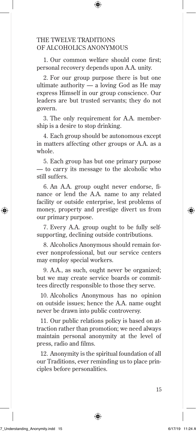## THE TWELVE TRADITIONS OF ALCOHOLICS ANONYMOUS

1. Our common welfare should come first: personal recovery depends upon A.A. unity.

 2. For our group purpose there is but one ultimate authority  $-$  a loving God as He may express Himself in our group conscience. Our leaders are but trusted servants; they do not govern.

 3. The only requirement for A.A. membership is a desire to stop drinking.

 4. Each group should be autonomous except in matters affecting other groups or A.A. as a whole.

 5. Each group has but one primary purpose — to carry its message to the alcoholic who still suffers.

6. An A.A. group ought never endorse, finance or lend the A.A. name to any related facility or outside enterprise, lest problems of money, property and prestige divert us from our primary purpose.

 7. Every A.A. group ought to be fully selfsupporting, declining outside contributions.

 8. Alcoholics Anonymous should remain forever nonprofessional, but our service centers may employ special workers.

 9. A.A., as such, ought never be organized; but we may create service boards or committees directly responsible to those they serve.

10. Alcoholics Anonymous has no opinion on outside issues; hence the A.A. name ought never be drawn into public controversy.

11. Our public relations policy is based on attraction rather than promotion; we need always maintain personal anonymity at the level of press, radio and films.

12. Anonymity is the spiritual foundation of all our Traditions, ever reminding us to place principles before personalities.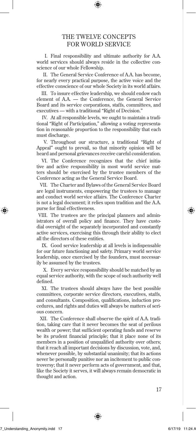#### THE TWELVE CONCEPTS FOR WORLD SERVICE

 I. Final responsibility and ultimate authority for A.A. world services should always reside in the collective conscience of our whole Fellowship.

 II. The General Service Conference of A.A. has become, for nearly every practical purpose, the active voice and the effective conscience of our whole Society in its world affairs.

 III. To insure effective leadership, we should endow each element of A.A. — the Conference, the General Service Board and its service corporations, staffs, committees, and executives — with a traditional "Right of Decision."

 IV. At all responsible levels, we ought to maintain a traditional "Right of Participation," allowing a voting representation in reasonable proportion to the responsibility that each must discharge.

 V. Throughout our structure, a traditional "Right of Appeal" ought to prevail, so that minority opinion will be heard and personal grievances receive careful consideration.

 VI. The Conference recognizes that the chief initiative and active responsibility in most world service matters should be exercised by the trustee members of the Conference acting as the General Service Board.

 VII. The Charter and Bylaws of the General Service Board are legal instruments, empowering the trustees to manage and conduct world service affairs. The Conference Charter is not a legal document; it relies upon tradition and the A.A. purse for final effectiveness.

 VIII. The trustees are the principal planners and administrators of overall policy and finance. They have custodial oversight of the separately incorporated and constantly active services, exercising this through their ability to elect all the directors of these entities.

 IX. Good service leadership at all levels is indispensable for our future functioning and safety. Primary world service leadership, once exercised by the founders, must necessarily be assumed by the trustees.

 X. Every service responsibility should be matched by an equal service authority, with the scope of such authority well defined.

 XI. The trustees should always have the best possible committees, corporate service directors, executives, staffs, and consultants. Composition, qualifications, induction procedures, and rights and duties will always be matters of serious concern.

 XII. The Conference shall observe the spirit of A.A. tradition, taking care that it never becomes the seat of perilous wealth or power; that sufficient operating funds and reserve be its prudent financial principle; that it place none of its members in a position of unqualified authority over others; that it reach all important decisions by discussion, vote, and, whenever possible, by substantial unanimity; that its actions never be personally punitive nor an incitement to public controversy; that it never perform acts of government, and that, like the Society it serves, it will always remain democratic in thought and action.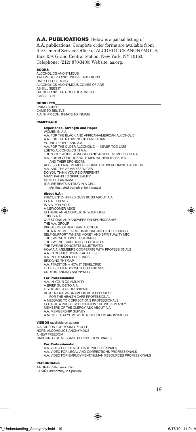A.A. PUBLICATIONS Below is a partial listing of A.A. publications. Complete order forms are available from the General Service Office of ALCOHOLICS ANONYMOUS. Box 459, Grand Central Station, New York, NY 10163. Telephone: (212) 870-3400; Website: aa.org.

#### BOOKS

ALCOHOLICS ANONYMOUS TWELVE STEPS AND TWELVE TRADITIONS DAILY REFLECTIONS ALCOHOLICS ANONYMOUS COMES OF AGE AS BILL SEES IT DR. BOB AND THE GOOD OLDTIMERS 'PASS IT ON'

#### **BOOKLETS**

LIVING SOBER CAME TO BELIEVE A.A. IN PRISON: INMATE TO INMATE

#### PAMPHLETS

#### Experience, Strength and Hope:

WOMEN IN A.A. A.A. FOR THE BLACK AND AFRICAN-AMERICAN ALCOHOLIC A.A. FOR THE NATIVE NORTH AMERICAN YOUNG PEOPLE AND A.A. A.A. FOR THE OLDER ALCOHOLIC — NEVER TOO LATE LGBTQ ALCOHOLICS IN A.A. THE "GOD" WORD: AGNOSTIC AND ATHEIST MEMBERS IN A.A. A.A. FOR ALCOHOLICS WITH MENTAL HEALTH ISSUES AND THEIR SPONSORS ACCESS TO A.A.: MEMBERS SHARE ON OVERCOMING BARRIERS A.A. AND THE ARMED SERVICES DO YOU THINK YOU'RE DIFFERENT? MANY PATHS TO SPIRITUALITY MEMO TO AN INMATE IT SURE BEATS SITTING IN A CELL (An illustrated pamphlet for inmates) About A.A.:

FREQUENTLY ASKED QUESTIONS ABOUT A.A. IS A.A. FOR ME? IS A.A. FOR YOU? A NEWCOMER ASKS IS THERE AN ALCOHOLIC IN YOUR LIFE? THIS IS A.A. QUESTIONS AND ANSWERS ON SPONSORSHIP THE A.A. GROUP PROBLEMS OTHER THAN ALCOHOL THE A.A. MEMBER—MEDICATIONS AND OTHER DRUGS SELF-SUPPORT: WHERE MONEY AND SPIRITUALITY MIX THE TWELVE STEPS ILLUSTRATED THE TWELVE TRADITIONS ILLUSTRATED THE TWELVE CONCEPTS ILLUSTRATED HOW A.A. MEMBERS COOPERATE WITH PROFESSIONALS A.A. IN CORRECTIONAL FACILITIES A.A. IN TREATMENT SETTINGS BRIDGING THE GAP A.A. TRADITION—HOW IT DEVELOPED<br>LET'S BE FRIENDLY WITH OUR FRIENDS UNDERSTANDING ANONYMITY

#### For Professionals:

A.A. IN YOUR COMMUNITY A BRIEF GUIDE TO A.A.<br>IF YOU ARE A PROFFS **IF YOU ARE A PROFESSIONAL** ALCOHOLICS ANONYMOUS AS A RESOURCE FOR THE HEALTH CARE PROFESSIONAL A MESSAGE TO CORRECTIONS PROFESSIONALS IS THERE A PROBLEM DRINKER IN THE WORKPLACE? MEMBERS OF THE CLERGY ASK ABOUT A.A. A.A. MEMBERSHIP SURVEY A MEMBER'S-EYE VIEW OF ALCOHOLICS ANONYMOUS

VIDEOS (available on aa.org)

A.A. VIDEOS FOR YOUNG PEOPLE HOPE: ALCOHOLICS ANONYMOUS A NEW FREEDOM CARRYING THE MESSAGE BEHIND THESE WALLS

#### For Professionals:

A.A. VIDEO FOR HEALTH CARE PROFESSIONALS

- A.A. VIDEO FOR LEGAL AND CORRECTIONS PROFESSIONALS A.A. VIDEO FOR EMPLOYMENT/HUMAN RESOURCES PROFESSIONALS
- 

#### PERIODICALS

AA GRAPEVINE (monthly) LA VIÑA (bimonthly, in Spanish)